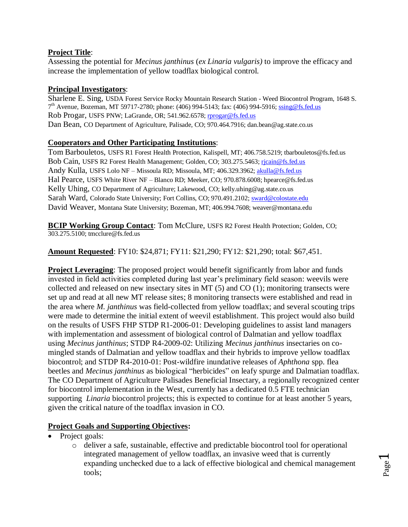# **Project Title**:

Assessing the potential for *Mecinus janthinus* (*ex Linaria vulgaris)* to improve the efficacy and increase the implementation of yellow toadflax biological control.

# **Principal Investigators**:

Sharlene E. Sing, USDA Forest Service Rocky Mountain Research Station - Weed Biocontrol Program, 1648 S. 7<sup>th</sup> Avenue, Bozeman, MT 59717-2780; phone: (406) 994-5143; fax: (406) 994-5916; [ssing@fs.fed.us](mailto:ssing@fs.fed.us) Rob Progar, USFS PNW; LaGrande, OR; 541.962.6578[; rprogar@fs.fed.us](mailto:rprogar@fs.fed.us) Dan Bean, CO Department of Agriculture, Palisade, CO; 970.464.7916; dan.bean@ag.state.co.us

# **Cooperators and Other Participating Institutions**:

Tom Barbouletos, USFS R1 Forest Health Protection, Kalispell, MT; 406.758.5219; tbarbouletos@fs.fed.us Bob Cain, USFS R2 Forest Health Management; Golden, CO; 303.275.5463; [rjcain@fs.fed.us](mailto:rjcain@fs.fed.us) Andy Kulla, USFS Lolo NF – Missoula RD; Missoula, MT; 406.329.3962[; akulla@fs.fed.us](mailto:akulla@fs.fed.us) Hal Pearce, USFS White River NF – Blanco RD; Meeker, CO; 970.878.6008; hpearce@fs.fed.us Kelly Uhing, CO Department of Agriculture; Lakewood, CO; kelly.uhing@ag.state.co.us Sarah Ward, Colorado State University; Fort Collins, CO; 970.491.2102; [sward@colostate.edu](mailto:sward@colostate.edu) David Weaver, Montana State University; Bozeman, MT; 406.994.7608; weaver@montana.edu

**BCIP Working Group Contact**: Tom McClure, USFS R2 Forest Health Protection; Golden, CO; 303.275.5100; tmcclure@fs.fed.us

**Amount Requested**: FY10: \$24,871; FY11: \$21,290; FY12: \$21,290; total: \$67,451.

**Project Leveraging**: The proposed project would benefit significantly from labor and funds invested in field activities completed during last year's preliminary field season: weevils were collected and released on new insectary sites in MT (5) and CO (1); monitoring transects were set up and read at all new MT release sites; 8 monitoring transects were established and read in the area where *M. janthinus* was field-collected from yellow toadflax; and several scouting trips were made to determine the initial extent of weevil establishment. This project would also build on the results of USFS FHP STDP R1-2006-01: Developing guidelines to assist land managers with implementation and assessment of biological control of Dalmatian and yellow toadflax using *Mecinus janthinus*; STDP R4-2009-02: Utilizing *Mecinus janthinus* insectaries on comingled stands of Dalmatian and yellow toadflax and their hybrids to improve yellow toadflax biocontrol; and STDP R4-2010-01: Post-wildfire inundative releases of *Aphthona* spp. flea beetles and *Mecinus janthinus* as biological "herbicides" on leafy spurge and Dalmatian toadflax. The CO Department of Agriculture Palisades Beneficial Insectary, a regionally recognized center for biocontrol implementation in the West, currently has a dedicated 0.5 FTE technician supporting *Linaria* biocontrol projects; this is expected to continue for at least another 5 years, given the critical nature of the toadflax invasion in CO.

# **Project Goals and Supporting Objectives:**

- Project goals:
	- o deliver a safe, sustainable, effective and predictable biocontrol tool for operational integrated management of yellow toadflax, an invasive weed that is currently expanding unchecked due to a lack of effective biological and chemical management tools;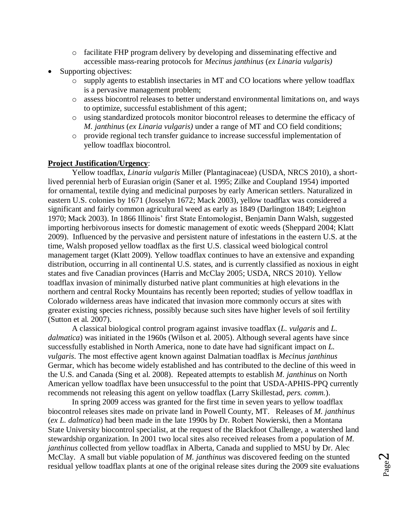- o facilitate FHP program delivery by developing and disseminating effective and accessible mass-rearing protocols for *Mecinus janthinus* (*ex Linaria vulgaris)*
- Supporting objectives:
	- o supply agents to establish insectaries in MT and CO locations where yellow toadflax is a pervasive management problem;
	- o assess biocontrol releases to better understand environmental limitations on, and ways to optimize, successful establishment of this agent;
	- o using standardized protocols monitor biocontrol releases to determine the efficacy of *M. janthinus* (*ex Linaria vulgaris)* under a range of MT and CO field conditions;
	- o provide regional tech transfer guidance to increase successful implementation of yellow toadflax biocontrol.

# **Project Justification/Urgency**:

Yellow toadflax, *Linaria vulgaris* Miller (Plantaginaceae) (USDA, NRCS 2010), a shortlived perennial herb of Eurasian origin (Saner et al. 1995; Zilke and Coupland 1954) imported for ornamental, textile dying and medicinal purposes by early American settlers. Naturalized in eastern U.S. colonies by 1671 (Josselyn 1672; Mack 2003), yellow toadflax was considered a significant and fairly common agricultural weed as early as 1849 (Darlington 1849; Leighton 1970; Mack 2003). In 1866 Illinois' first State Entomologist, Benjamin Dann Walsh, suggested importing herbivorous insects for domestic management of exotic weeds (Sheppard 2004; Klatt 2009). Influenced by the pervasive and persistent nature of infestations in the eastern U.S. at the time, Walsh proposed yellow toadflax as the first U.S. classical weed biological control management target (Klatt 2009). Yellow toadflax continues to have an extensive and expanding distribution, occurring in all continental U.S. states, and is currently classified as noxious in eight states and five Canadian provinces (Harris and McClay 2005; USDA, NRCS 2010). Yellow toadflax invasion of minimally disturbed native plant communities at high elevations in the northern and central Rocky Mountains has recently been reported; studies of yellow toadflax in Colorado wilderness areas have indicated that invasion more commonly occurs at sites with greater existing species richness, possibly because such sites have higher levels of soil fertility (Sutton et al. 2007).

A classical biological control program against invasive toadflax (*L. vulgaris* and *L. dalmatica*) was initiated in the 1960s (Wilson et al. 2005). Although several agents have since successfully established in North America, none to date have had significant impact on *L. vulgaris*. The most effective agent known against Dalmatian toadflax is *Mecinus janthinus*  Germar, which has become widely established and has contributed to the decline of this weed in the U.S. and Canada (Sing et al. 2008). Repeated attempts to establish *M. janthinus* on North American yellow toadflax have been unsuccessful to the point that USDA-APHIS-PPQ currently recommends not releasing this agent on yellow toadflax (Larry Skillestad, *pers. comm.*).

In spring 2009 access was granted for the first time in seven years to yellow toadflax biocontrol releases sites made on private land in Powell County, MT. Releases of *M. janthinus*  (*ex L. dalmatica*) had been made in the late 1990s by Dr. Robert Nowierski, then a Montana State University biocontrol specialist, at the request of the Blackfoot Challenge, a watershed land stewardship organization. In 2001 two local sites also received releases from a population of *M. janthinus* collected from yellow toadflax in Alberta, Canada and supplied to MSU by Dr. Alec McClay. A small but viable population of *M. janthinus* was discovered feeding on the stunted residual yellow toadflax plants at one of the original release sites during the 2009 site evaluations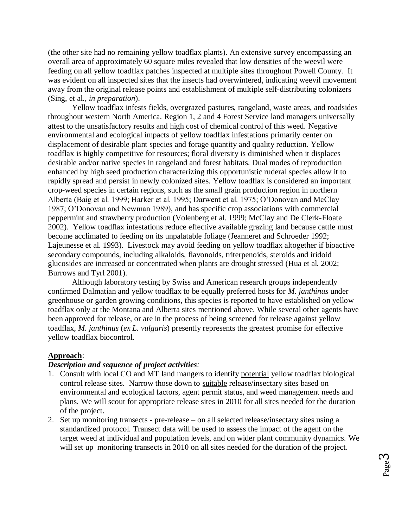(the other site had no remaining yellow toadflax plants). An extensive survey encompassing an overall area of approximately 60 square miles revealed that low densities of the weevil were feeding on all yellow toadflax patches inspected at multiple sites throughout Powell County. It was evident on all inspected sites that the insects had overwintered, indicating weevil movement away from the original release points and establishment of multiple self-distributing colonizers (Sing, et al., *in preparation*).

Yellow toadflax infests fields, overgrazed pastures, rangeland, waste areas, and roadsides throughout western North America. Region 1, 2 and 4 Forest Service land managers universally attest to the unsatisfactory results and high cost of chemical control of this weed. Negative environmental and ecological impacts of yellow toadflax infestations primarily center on displacement of desirable plant species and forage quantity and quality reduction. Yellow toadflax is highly competitive for resources; floral diversity is diminished when it displaces desirable and/or native species in rangeland and forest habitats. Dual modes of reproduction enhanced by high seed production characterizing this opportunistic ruderal species allow it to rapidly spread and persist in newly colonized sites. Yellow toadflax is considered an important crop-weed species in certain regions, such as the small grain production region in northern Alberta (Baig et al. 1999; Harker et al. 1995; Darwent et al. 1975; O'Donovan and McClay 1987; O'Donovan and Newman 1989), and has specific crop associations with commercial peppermint and strawberry production (Volenberg et al. 1999; McClay and De Clerk-Floate 2002). Yellow toadflax infestations reduce effective available grazing land because cattle must become acclimated to feeding on its unpalatable foliage (Jeanneret and Schroeder 1992; Lajeunesse et al. 1993). Livestock may avoid feeding on yellow toadflax altogether if bioactive secondary compounds, including alkaloids, flavonoids, triterpenoids, steroids and iridoid glucosides are increased or concentrated when plants are drought stressed (Hua et al. 2002; Burrows and Tyrl 2001).

Although laboratory testing by Swiss and American research groups independently confirmed Dalmatian and yellow toadflax to be equally preferred hosts for *M. janthinus* under greenhouse or garden growing conditions, this species is reported to have established on yellow toadflax only at the Montana and Alberta sites mentioned above. While several other agents have been approved for release, or are in the process of being screened for release against yellow toadflax, *M. janthinus* (*ex L. vulgaris*) presently represents the greatest promise for effective yellow toadflax biocontrol.

## **Approach**:

### *Description and sequence of project activities:*

- 1. Consult with local CO and MT land mangers to identify potential yellow toadflax biological control release sites. Narrow those down to suitable release/insectary sites based on environmental and ecological factors, agent permit status, and weed management needs and plans. We will scout for appropriate release sites in 2010 for all sites needed for the duration of the project.
- 2. Set up monitoring transects pre-release on all selected release/insectary sites using a standardized protocol. Transect data will be used to assess the impact of the agent on the target weed at individual and population levels, and on wider plant community dynamics. We will set up monitoring transects in 2010 on all sites needed for the duration of the project.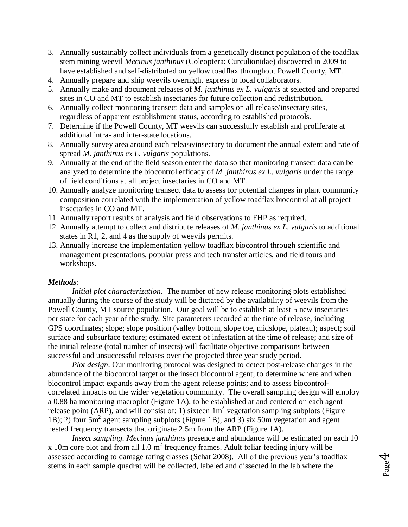- 3. Annually sustainably collect individuals from a genetically distinct population of the toadflax stem mining weevil *Mecinus janthinus* (Coleoptera: Curculionidae) discovered in 2009 to have established and self-distributed on yellow toadflax throughout Powell County, MT.
- 4. Annually prepare and ship weevils overnight express to local collaborators.
- 5. Annually make and document releases of *M. janthinus ex L. vulgaris* at selected and prepared sites in CO and MT to establish insectaries for future collection and redistribution.
- 6. Annually collect monitoring transect data and samples on all release/insectary sites, regardless of apparent establishment status, according to established protocols.
- 7. Determine if the Powell County, MT weevils can successfully establish and proliferate at additional intra- and inter-state locations.
- 8. Annually survey area around each release/insectary to document the annual extent and rate of spread *M. janthinus ex L. vulgaris* populations.
- 9. Annually at the end of the field season enter the data so that monitoring transect data can be analyzed to determine the biocontrol efficacy of *M. janthinus ex L. vulgaris* under the range of field conditions at all project insectaries in CO and MT.
- 10. Annually analyze monitoring transect data to assess for potential changes in plant community composition correlated with the implementation of yellow toadflax biocontrol at all project insectaries in CO and MT.
- 11. Annually report results of analysis and field observations to FHP as required.
- 12. Annually attempt to collect and distribute releases of *M. janthinus ex L. vulgaris* to additional states in R1, 2, and 4 as the supply of weevils permits.
- 13. Annually increase the implementation yellow toadflax biocontrol through scientific and management presentations, popular press and tech transfer articles, and field tours and workshops.

### *Methods:*

*Initial plot characterization*. The number of new release monitoring plots established annually during the course of the study will be dictated by the availability of weevils from the Powell County, MT source population. Our goal will be to establish at least 5 new insectaries per state for each year of the study. Site parameters recorded at the time of release, including GPS coordinates; slope; slope position (valley bottom, slope toe, midslope, plateau); aspect; soil surface and subsurface texture; estimated extent of infestation at the time of release; and size of the initial release (total number of insects) will facilitate objective comparisons between successful and unsuccessful releases over the projected three year study period.

*Plot design*. Our monitoring protocol was designed to detect post-release changes in the abundance of the biocontrol target or the insect biocontrol agent; to determine where and when biocontrol impact expands away from the agent release points; and to assess biocontrolcorrelated impacts on the wider vegetation community. The overall sampling design will employ a 0.88 ha monitoring macroplot (Figure 1A), to be established at and centered on each agent release point (ARP), and will consist of: 1) sixteen  $1m^2$  vegetation sampling subplots (Figure 1B); 2) four 5m<sup>2</sup> agent sampling subplots (Figure 1B), and 3) six 50m vegetation and agent nested frequency transects that originate 2.5m from the ARP (Figure 1A).

*Insect sampling. Mecinus janthinus* presence and abundance will be estimated on each 10  $x$  10m core plot and from all 1.0 m<sup>2</sup> frequency frames. Adult foliar feeding injury will be assessed according to damage rating classes (Schat 2008). All of the previous year's toadflax stems in each sample quadrat will be collected, labeled and dissected in the lab where the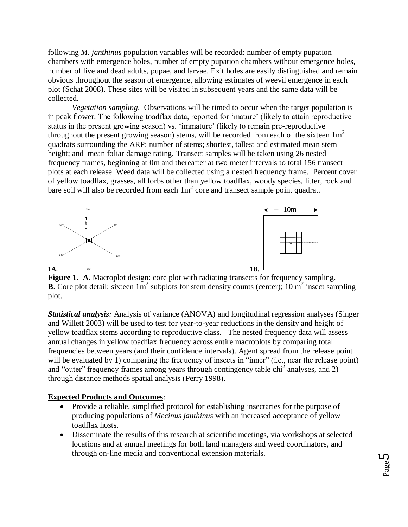following *M. janthinus* population variables will be recorded: number of empty pupation chambers with emergence holes, number of empty pupation chambers without emergence holes, number of live and dead adults, pupae, and larvae. Exit holes are easily distinguished and remain obvious throughout the season of emergence, allowing estimates of weevil emergence in each plot (Schat 2008). These sites will be visited in subsequent years and the same data will be collected.

*Vegetation sampling*. Observations will be timed to occur when the target population is in peak flower. The following toadflax data, reported for 'mature' (likely to attain reproductive status in the present growing season) vs. 'immature' (likely to remain pre-reproductive throughout the present growing season) stems, will be recorded from each of the sixteen  $1m<sup>2</sup>$ quadrats surrounding the ARP: number of stems; shortest, tallest and estimated mean stem height; and mean foliar damage rating. Transect samples will be taken using 26 nested frequency frames, beginning at 0m and thereafter at two meter intervals to total 156 transect plots at each release. Weed data will be collected using a nested frequency frame. Percent cover of yellow toadflax, grasses, all forbs other than yellow toadflax, woody species, litter, rock and bare soil will also be recorded from each  $1m^2$  core and transect sample point quadrat.



**Figure 1. A.** Macroplot design: core plot with radiating transects for frequency sampling. **B.** Core plot detail: sixteen  $1m^2$  subplots for stem density counts (center);  $10 m^2$  insect sampling plot.

*Statistical analysis:* Analysis of variance (ANOVA) and longitudinal regression analyses (Singer and Willett 2003) will be used to test for year-to-year reductions in the density and height of yellow toadflax stems according to reproductive class. The nested frequency data will assess annual changes in yellow toadflax frequency across entire macroplots by comparing total frequencies between years (and their confidence intervals). Agent spread from the release point will be evaluated by 1) comparing the frequency of insects in "inner" (i.e., near the release point) and "outer" frequency frames among years through contingency table  $\text{chi}^2$  analyses, and 2) through distance methods spatial analysis (Perry 1998).

# **Expected Products and Outcomes**:

- Provide a reliable, simplified protocol for establishing insectaries for the purpose of producing populations of *Mecinus janthinus* with an increased acceptance of yellow toadflax hosts.
- Disseminate the results of this research at scientific meetings, via workshops at selected locations and at annual meetings for both land managers and weed coordinators, and through on-line media and conventional extension materials.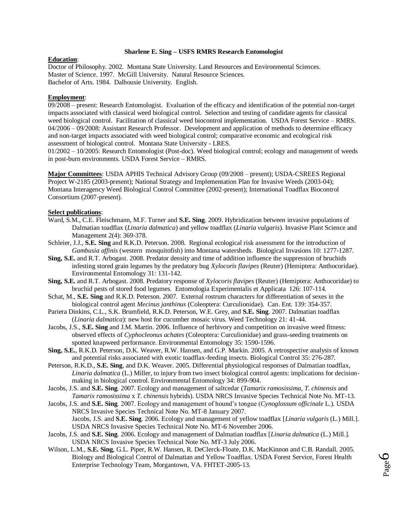#### **Sharlene E. Sing – USFS RMRS Research Entomologist**

#### **Education**:

Doctor of Philosophy. 2002. Montana State University. Land Resources and Environmental Sciences. Master of Science. 1997. McGill University. Natural Resource Sciences. Bachelor of Arts. 1984. Dalhousie University. English.

#### **Employment**:

09/2008 – present: Research Entomologist. Evaluation of the efficacy and identification of the potential non-target impacts associated with classical weed biological control. Selection and testing of candidate agents for classical weed biological control. Facilitation of classical weed biocontrol implementation. USDA Forest Service – RMRS. 04/2006 – 09/2008: Assistant Research Professor.Development and application of methods to determine efficacy and non-target impacts associated with weed biological control; comparative economic and ecological risk assessment of biological control.Montana State University - LRES.

01/2002 – 10/2005: Research Entomologist (Post-doc). Weed biological control; ecology and management of weeds in post-burn environments. USDA Forest Service – RMRS.

**Major Committees**: USDA APHIS Technical Advisory Group (09/2008 – present); USDA-CSREES Regional Project W-2185 (2003-present); National Strategy and Implementation Plan for Invasive Weeds (2003-04); Montana Interagency Weed Biological Control Committee (2002-present); International Toadflax Biocontrol Consortium (2007-present).

#### **Select publications**:

- Ward, S.M., C.E. Fleischmann, M.F. Turner and **S.E. Sing**. 2009. Hybridization between invasive populations of Dalmatian toadflax (*Linaria dalmatica*) and yellow toadflax (*Linaria vulgaris*). Invasive Plant Science and Management 2(4): 369-378.
- Schleier, J.J., **S.E. Sing** and R.K.D. Peterson. 2008. Regional ecological risk assessment for the introduction of *Gambusia affinis* (western mosquitofish) into Montana watersheds. Biological Invasions 10: 1277-1287.
- **Sing, S.E.** and R.T. Arbogast. 2008. Predator density and time of addition influence the suppression of bruchids infesting stored grain legumes by the predatory bug *Xylocoris flavipes* (Reuter) (Hemiptera: Anthocoridae). Environmental Entomology 31: 131-142.
- **Sing, S.E.** and R.T. Arbogast. 2008. Predatory response of *Xylocoris flavipes* (Reuter) (Hemiptera: Anthocoridae) to bruchid pests of stored food legumes. Entomologia Experimentalis et Applicata 126: 107-114.
- Schat, M., **S.E. Sing** and R.K.D. Peterson. 2007. External rostrum characters for differentiation of sexes in the biological control agent *Mecinus janthinus* (Coleoptera: Curculionidae). Can. Ent. 139: 354-357.
- Pariera Dinkins, C.L., S.K. Brumfield, R.K.D. Peterson, W.E. Grey, and **S.E. Sing**. 2007. Dalmatian toadflax (*Linaria dalmatica*): new host for cucumber mosaic virus. Weed Technology 21: 41-44.
- Jacobs, J.S., **S.E. Sing** and J.M. Martin. 2006. Influence of herbivory and competition on invasive weed fitness: observed effects of *Cyphocleonus achates* (Coleoptera: Curculionidae) and grass-seeding treatments on spotted knapweed performance. Environmental Entomology 35: 1590-1596.
- **Sing, S.E.**, R.K.D. Peterson, D.K. Weaver, R.W. Hansen, and G.P. Markin. 2005. A retrospective analysis of known and potential risks associated with exotic toadflax-feeding insects. Biological Control 35: 276-287.
- Peterson, R.K.D., **S.E. Sing**, and D.K. Weaver. 2005. Differential physiological responses of Dalmatian toadflax, *Linaria dalmatica* (L.) Miller, to injury from two insect biological control agents: implications for decisionmaking in biological control. Environmental Entomology 34: 899-904.

Jacobs, J.S. and **S.E. Sing**. 2007. Ecology and management of saltcedar (*Tamarix ramosissima*, *T. chinensis* and *Tamarix ramosissima* x *T. chinensis* hybrids). USDA NRCS Invasive Species Technical Note No. MT-13.

- Jacobs, J.S. and **S.E. Sing**. 2007. Ecology and management of hound's tongue (*Cynoglossum officinale* L.). USDA NRCS Invasive Species Technical Note No. MT-8 January 2007. Jacobs, J.S. and **S.E. Sing**. 2006. Ecology and management of yellow toadflax [*Linaria vulgaris* (L.) Mill.]. USDA NRCS Invasive Species Technical Note No. MT-6 November 2006.
- Jacobs, J.S. and **S.E. Sing**. 2006. Ecology and management of Dalmatian toadflax [*Linaria dalmatica* (L.) Mill.]. USDA NRCS Invasive Species Technical Note No. MT-3 July 2006.
- Wilson, L.M., **S.E. Sing**, G.L. Piper, R.W. Hansen, R. DeClerck-Floate, D.K. MacKinnon and C.B. Randall. 2005. Biology and Biological Control of Dalmatian and Yellow Toadflax. USDA Forest Service, Forest Health Enterprise Technology Team, Morgantown, VA. FHTET-2005-13.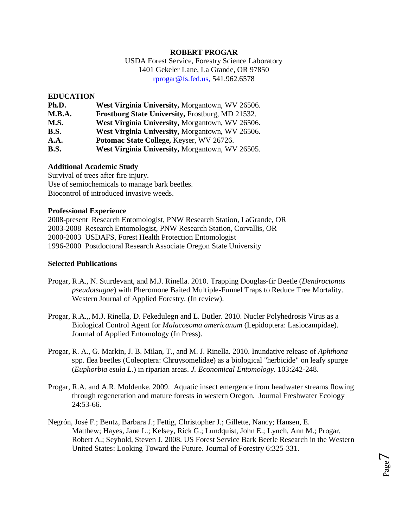### **ROBERT PROGAR**

USDA Forest Service, Forestry Science Laboratory 1401 Gekeler Lane, La Grande, OR 97850 [rprogar@fs.fed.us,](mailto:rprogar@fs.fed.us,) 541.962.6578

## **EDUCATION**

| Ph.D.       | West Virginia University, Morgantown, WV 26506.         |
|-------------|---------------------------------------------------------|
| M.B.A.      | <b>Frostburg State University, Frostburg, MD 21532.</b> |
| M.S.        | West Virginia University, Morgantown, WV 26506.         |
| <b>B.S.</b> | West Virginia University, Morgantown, WV 26506.         |
| A.A.        | Potomac State College, Keyser, WV 26726.                |
| <b>B.S.</b> | West Virginia University, Morgantown, WV 26505.         |

## **Additional Academic Study**

Survival of trees after fire injury. Use of semiochemicals to manage bark beetles. Biocontrol of introduced invasive weeds.

### **Professional Experience**

2008-present Research Entomologist, PNW Research Station, LaGrande, OR 2003-2008 Research Entomologist, PNW Research Station, Corvallis, OR 2000-2003 USDAFS, Forest Health Protection Entomologist 1996-2000 Postdoctoral Research Associate Oregon State University

## **Selected Publications**

- Progar, R.A., N. Sturdevant, and M.J. Rinella. 2010. Trapping Douglas-fir Beetle (*Dendroctonus pseudotsugae*) with Pheromone Baited Multiple-Funnel Traps to Reduce Tree Mortality. Western Journal of Applied Forestry. (In review).
- Progar, R.A.,, M.J. Rinella, D. Fekedulegn and L. Butler. 2010. Nucler Polyhedrosis Virus as a Biological Control Agent for *Malacosoma americanum* (Lepidoptera: Lasiocampidae). Journal of Applied Entomology (In Press).
- Progar, R. A., G. Markin, J. B. Milan, T., and M. J. Rinella. 2010. Inundative release of *Aphthona*  spp. flea beetles (Coleoptera: Chruysomelidae) as a biological "herbicide" on leafy spurge (*Euphorbia esula L.*) in riparian areas. *J. Economical Entomology.* 103:242-248.
- Progar, R.A. and A.R. Moldenke. 2009. Aquatic insect emergence from headwater streams flowing through regeneration and mature forests in western Oregon. Journal Freshwater Ecology  $24.53 - 66$
- Negrón, José F.; Bentz, Barbara J.; Fettig, Christopher J.; Gillette, Nancy; Hansen, E. Matthew; Hayes, Jane L.; Kelsey, Rick G.; Lundquist, John E.; Lynch, Ann M.; Progar, Robert A.; Seybold, Steven J. 2008. US Forest Service Bark Beetle Research in the Western United States: Looking Toward the Future. [Journal of Forestry](http://www.ingentaconnect.com/content/saf/jof;jsessionid=wx06esoifno8.alice) 6:325-331.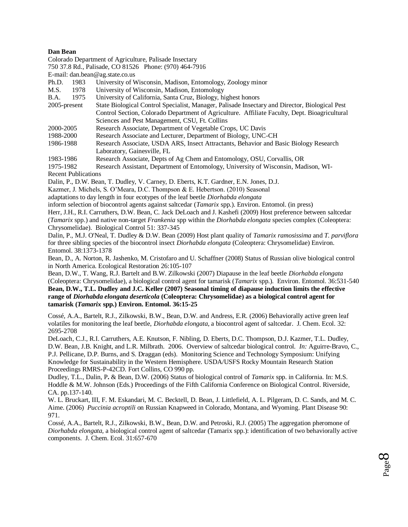#### **Dan Bean**

Colorado Department of Agriculture, Palisade Insectary

750 37.8 Rd., Palisade, CO 81526 Phone: (970) 464-7916

E-mail: dan.bean@ag.state.co.us

- Ph.D. 1983 University of Wisconsin, Madison, Entomology, Zoology minor
- M.S. 1978 University of Wisconsin, Madison, Entomology
- B.A. 1975 University of California, Santa Cruz, Biology, highest honors
- 2005-present State Biological Control Specialist, Manager, Palisade Insectary and Director, Biological Pest Control Section, Colorado Department of Agriculture. Affiliate Faculty, Dept. Bioagricultural Sciences and Pest Management, CSU, Ft. Collins
- 2000-2005 Research Associate, Department of Vegetable Crops, UC Davis
- 1988-2000 Research Associate and Lecturer, Department of Biology, UNC-CH
- 1986-1988 Research Associate, USDA ARS, Insect Attractants, Behavior and Basic Biology Research Laboratory, Gainesville, FL
- 1983-1986 Research Associate, Depts of Ag Chem and Entomology, OSU, Corvallis, OR

1975-1982 Research Assistant, Department of Entomology, University of Wisconsin, Madison, WI-Recent Publications

Dalin, P., D.W. Bean, T. Dudley, V. Carney, D. Eberts, K.T. Gardner, E.N. Jones, D.J.

Kazmer, J. Michels, S. O'Meara, D.C. Thompson & E. Hebertson. (2010) Seasonal

adaptations to day length in four ecotypes of the leaf beetle *Diorhabda elongata*

inform selection of biocontrol agents against saltcedar (*Tamarix* spp.). Environ. Entomol. (in press)

Herr, J.H., R.I. Carruthers, D.W. Bean, C. Jack DeLoach and J. Kashefi (2009) Host preference between saltcedar (*Tamarix* spp.) and native non-target *Frankenia* spp within the *Diorhabda elongata* species complex (Coleoptera: Chrysomelidae). Biological Control 51: 337-345

Dalin, P., M.J. O'Neal, T. Dudley & D.W. Bean (2009) Host plant quality of *Tamarix ramosissima* and *T. parviflora* for three sibling species of the biocontrol insect *Diorhabda elongata* (Coleoptera: Chrysomelidae) Environ. Entomol. 38:1373-1378

Bean, D., A. Norton, R. Jashenko, M. Cristofaro and U. Schaffner (2008) Status of Russian olive biological control in North America. Ecological Restoration 26:105-107

Bean, D.W., T. Wang, R.J. Bartelt and B.W. Zilkowski (2007) Diapause in the leaf beetle *Diorhabda elongata* (Coleoptera: Chrysomelidae), a biological control agent for tamarisk (*Tamarix* spp.). Environ. Entomol. 36:531-540 **Bean, D.W., T.L. Dudley and J.C. Keller (2007) Seasonal timing of diapause induction limits the effective range of** *Diorhabda elongata deserticola* **(Coleoptera: Chrysomelidae) as a biological control agent for tamarisk (***Tamarix* **spp.) Environ. Entomol. 36:15-25** 

Cossé, A.A., Bartelt, R.J., Zilkowski, B.W., Bean, D.W. and Andress, E.R. (2006) Behaviorally active green leaf volatiles for monitoring the leaf beetle, *Diorhabda elongata*, a biocontrol agent of saltcedar. J. Chem. Ecol. 32: 2695-2708

DeLoach, C.J., R.I. Carruthers, A.E. Knutson, F. Nibling, D. Eberts, D.C. Thompson, D.J. Kazmer, T.L. Dudley, D.W. Bean, J.B. Knight, and L.R. Milbrath. 2006. Overview of saltcedar biological control. *In:* Aguirre-Bravo, C., P.J. Pellicane, D.P. Burns, and S. Draggan (eds). Monitoring Science and Technology Symposium: Unifying Knowledge for Sustainability in the Western Hemisphere. USDA/USFS Rocky Mountain Research Station Proceedings RMRS-P-42CD. Fort Collins, CO 990 pp.

Dudley, T.L., Dalin, P**.** & Bean, D.W. (2006) Status of biological control of *Tamarix* spp. in California. In: M.S. Hoddle & M.W. Johnson (Eds.) Proceedings of the Fifth California Conference on Biological Control. Riverside, CA. pp.137-140.

W. L. Bruckart, III, F. M. Eskandari, M. C. Becktell, D. Bean, J. Littlefield, A. L. Pilgeram, D. C. Sands, and M. C. Aime. (2006) *Puccinia acroptili* on Russian Knapweed in Colorado, Montana, and Wyoming. Plant Disease 90: 971.

Cossé, A.A., Bartelt, R.J., Zilkowski, B.W., Bean, D.W. and Petroski, R.J. (2005) The aggregation pheromone of *Diorhabda elongata,* a biological control agent of saltcedar (Tamarix spp.): identification of two behaviorally active components. J. Chem. Ecol. 31:657-670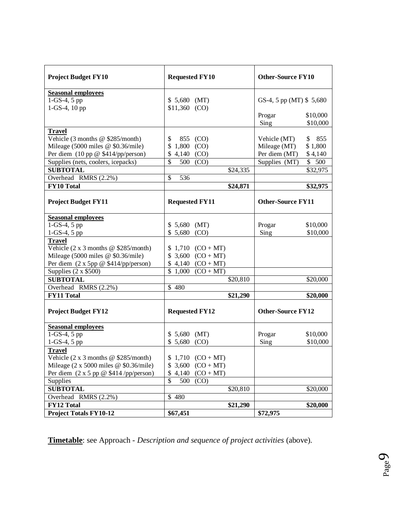| <b>Project Budget FY10</b>                                              | <b>Requested FY10</b>           |                               | <b>Other-Source FY10</b> |                         |          |
|-------------------------------------------------------------------------|---------------------------------|-------------------------------|--------------------------|-------------------------|----------|
| <b>Seasonal employees</b>                                               |                                 |                               |                          |                         |          |
| $1-GS-4, 5 pp$                                                          | $$5,680$ (MT)                   |                               |                          | GS-4, 5 pp (MT) \$5,680 |          |
| 1-GS-4, 10 pp                                                           | $$11,360$ (CO)                  |                               |                          |                         |          |
|                                                                         |                                 |                               |                          | Progar                  | \$10,000 |
|                                                                         |                                 |                               |                          | Sing                    | \$10,000 |
| <b>Travel</b>                                                           |                                 |                               |                          |                         |          |
| Vehicle (3 months @ \$285/month)                                        | \$                              | 855 (CO)                      |                          | Vehicle (MT)            | \$855    |
| Mileage (5000 miles @ \$0.36/mile)                                      | \$<br>$1,800$ (CO)              |                               |                          | Mileage (MT)            | \$1,800  |
| Per diem (10 pp @ \$414/pp/person)                                      | \$<br>4,140 $(CO)$              |                               |                          | Per diem (MT)           | \$4,140  |
| Supplies (nets, coolers, icepacks)                                      | $\overline{\mathbb{S}}$         | 500 (CO)                      |                          | Supplies (MT)           | \$500    |
| <b>SUBTOTAL</b>                                                         |                                 |                               | \$24,335                 |                         | \$32,975 |
| Overhead RMRS (2.2%)                                                    | $\overline{\mathcal{S}}$<br>536 |                               |                          |                         |          |
| FY10 Total                                                              |                                 |                               | \$24,871                 |                         | \$32,975 |
|                                                                         |                                 |                               |                          |                         |          |
| <b>Project Budget FY11</b>                                              | <b>Requested FY11</b>           |                               | <b>Other-Source FY11</b> |                         |          |
| <b>Seasonal employees</b>                                               |                                 |                               |                          |                         |          |
| $1-GS-4, 5 pp$                                                          | $$5,680$ (MT)                   |                               |                          | Progar                  | \$10,000 |
| $1-GS-4, 5 pp$                                                          | $$5,680$ (CO)                   |                               |                          | Sing                    | \$10,000 |
| <b>Travel</b>                                                           |                                 |                               |                          |                         |          |
| Vehicle $(2 \times 3 \text{ months} \ @ \ $285/month)$                  |                                 | $$1,710$ (CO + MT)            |                          |                         |          |
| Mileage (5000 miles @ \$0.36/mile)                                      |                                 | $$3,600 (CO + MT)$            |                          |                         |          |
| Per diem $(2 \times 5pp \ @$ \$414/pp/person)                           |                                 | $$4,140$ $(CO+MT)$            |                          |                         |          |
| Supplies $(2 \times $500)$                                              |                                 | $\overline{$}1,000$ (CO + MT) |                          |                         |          |
| <b>SUBTOTAL</b>                                                         |                                 |                               | \$20,810                 |                         | \$20,000 |
| Overhead RMRS (2.2%)                                                    | \$480                           |                               |                          |                         |          |
| <b>FY11 Total</b>                                                       |                                 |                               | \$21,290                 |                         | \$20,000 |
| <b>Project Budget FY12</b>                                              | <b>Requested FY12</b>           |                               | <b>Other-Source FY12</b> |                         |          |
| <b>Seasonal employees</b>                                               |                                 |                               |                          |                         |          |
| 1-GS-4, 5 pp                                                            | $$5,680$ (MT)                   |                               |                          | Progar                  | \$10,000 |
| $1-GS-4, 5 pp$                                                          | $$5,680$ (CO)                   |                               |                          | Sing                    | \$10,000 |
| <b>Travel</b>                                                           |                                 |                               |                          |                         |          |
| Vehicle $(2 \times 3 \text{ months} \ @ \ $285/month)$                  |                                 | $$1,710$ (CO + MT)            |                          |                         |          |
| Mileage $(2 \times 5000 \text{ miles} \ @$ \$0.36/mile)                 |                                 | $$3,600$ (CO + MT)            |                          |                         |          |
| Per diem $(2 \times 5 \text{ pp} \circledcirc $414 \text{ /pp/person})$ |                                 | $$4,140$ (CO + MT)            |                          |                         |          |
| Supplies                                                                | \$                              | 500 (CO)                      |                          |                         |          |
| <b>SUBTOTAL</b>                                                         |                                 |                               | \$20,810                 |                         | \$20,000 |
| Overhead RMRS (2.2%)                                                    | \$480                           |                               |                          |                         |          |
| FY12 Total                                                              |                                 |                               | \$21,290                 |                         | \$20,000 |
| <b>Project Totals FY10-12</b>                                           | \$67,451                        |                               |                          | \$72,975                |          |

**Timetable**: see Approach - *Description and sequence of project activities* (above)*.*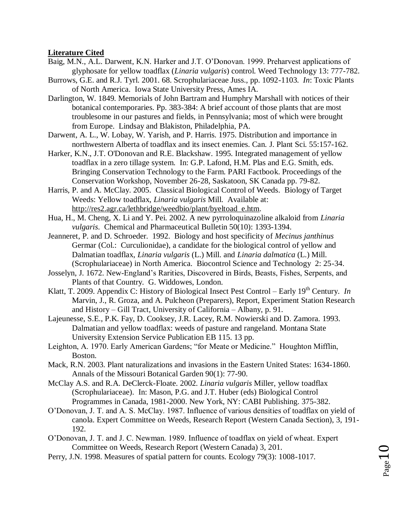# **Literature Cited**

- Baig, M.N., A.L. Darwent, K.N. Harker and J.T. O'Donovan. 1999. Preharvest applications of glyphosate for yellow toadflax (*Linaria vulgaris*) control. Weed Technology 13: 777-782.
- Burrows, G.E. and R.J. Tyrl. 2001. 68. Scrophulariaceae Juss., pp. 1092-1103. *In*: Toxic Plants of North America. Iowa State University Press, Ames IA.
- Darlington, W. 1849. Memorials of John Bartram and Humphry Marshall with notices of their botanical contemporaries. Pp. 383-384: A brief account of those plants that are most troublesome in our pastures and fields, in Pennsylvania; most of which were brought from Europe. Lindsay and Blakiston, Philadelphia, PA.
- Darwent, A. L., W. Lobay, W. Yarish, and P. Harris. 1975. Distribution and importance in northwestern Alberta of toadflax and its insect enemies. Can. J. Plant Sci. 55:157-162.
- Harker, K.N., J.T. O'Donovan and R.E. Blackshaw. 1995. Integrated management of yellow toadflax in a zero tillage system. In: G.P. Lafond, H.M. Plas and E.G. Smith, eds. Bringing Conservation Technology to the Farm. PARI Factbook. Proceedings of the Conservation Workshop, November 26-28, Saskatoon, SK Canada pp. 79-82.
- Harris, P. and A. McClay. 2005. Classical Biological Control of Weeds. Biology of Target Weeds: Yellow toadflax, *Linaria vulgaris* Mill. Available at: [http://res2.agr.ca/lethbridge/weedbio/plant/byeltoad\\_e.htm.](http://res2.agr.ca/lethbridge/weedbio/plant/byeltoad_e.htm)
- Hua, H., M. Cheng, X. Li and Y. Pei. 2002. A new pyrroloquinazoline alkaloid from *Linaria vulgaris*. Chemical and Pharmaceutical Bulletin 50(10): 1393-1394.
- Jeanneret, P. and D. Schroeder. 1992. Biology and host specificity of *Mecinus janthinus*  Germar (Col.: Curculionidae), a candidate for the biological control of yellow and Dalmatian toadflax, *Linaria vulgaris* (L.) Mill. and *Linaria dalmatica* (L.) Mill. (Scrophulariaceae) in North America. Biocontrol Science and Technology 2: 25-34.
- Josselyn, J. 1672. New-England's Rarities, Discovered in Birds, Beasts, Fishes, Serpents, and Plants of that Country. G. Widdowes, London.
- Klatt, T. 2009. Appendix C: History of Biological Insect Pest Control Early  $19<sup>th</sup>$  Century. *In* Marvin, J., R. Groza, and A. Pulcheon (Preparers), Report, Experiment Station Research and History – Gill Tract, University of California – Albany, p. 91.
- Lajeunesse, S.E., P.K. Fay, D. Cooksey, J.R. Lacey, R.M. Nowierski and D. Zamora. 1993. Dalmatian and yellow toadflax: weeds of pasture and rangeland. Montana State University Extension Service Publication EB 115. 13 pp.
- Leighton, A. 1970. Early American Gardens; "for Meate or Medicine." Houghton Mifflin, Boston.
- Mack, R.N. 2003. Plant naturalizations and invasions in the Eastern United States: 1634-1860. Annals of the Missouri Botanical Garden 90(1): 77-90.
- McClay A.S. and R.A. DeClerck-Floate. 2002. *Linaria vulgaris* Miller, yellow toadflax (Scrophulariaceae). In: Mason, P.G. and J.T. Huber (eds) Biological Control Programmes in Canada, 1981-2000. New York, NY: CABI Publishing. 375-382.
- O'Donovan, J. T. and A. S. McClay. 1987. Influence of various densities of toadflax on yield of canola. Expert Committee on Weeds, Research Report (Western Canada Section), 3, 191- 192.
- O'Donovan, J. T. and J. C. Newman. 1989. Influence of toadflax on yield of wheat. Expert Committee on Weeds, Research Report (Western Canada) 3, 201.
- Perry, J.N. 1998. Measures of spatial pattern for counts. Ecology 79(3): 1008-1017.